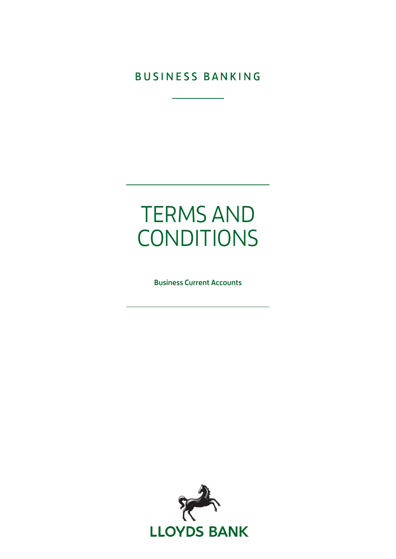**BUSINESS BANKING** 

# TERMS AND CONDITIONS

Business Current Accounts

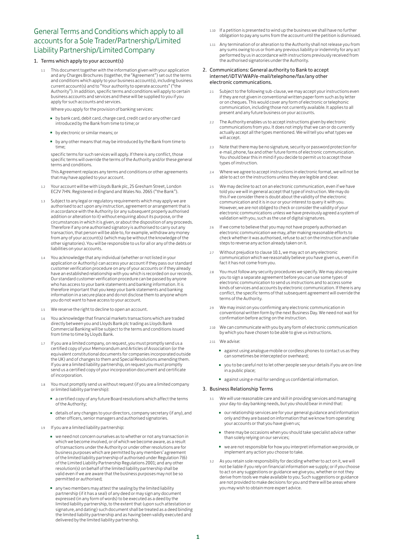# General Terms and Conditions which apply to all accounts for a Sole Trader/Partnership/Limited Liability Partnership/Limited Company

### 1. Terms which apply to your account(s)

This document together with the information given with your application and any Charges Brochures (together, the "Agreement") set out the terms and conditions which apply to your business account(s), including business current account(s) and to "Your authority to operate accounts" ("the Authority"). In addition, specific terms and conditions will apply to certain business accounts and services and these will be supplied to you if you apply for such accounts and services.

Where you apply for the provision of banking services:

- by bank card, debit card, charge card, credit card or any other card introduced by the Bank from time to time; or
- by electronic or similar means; or
- by any other means that may be introduced by the Bank from time to time;

specific terms for such services will apply. If there is any conflict, those specific terms will override the terms of the Authority and/or these general terms and conditions.

This Agreement replaces any terms and conditions or other agreements that may have applied to your account.

- 1.2 Your account will be with Lloyds Bank plc, 25 Gresham Street, London EC2V 7HN. Registered in England and Wales No. 2065 ("the Bank").
- 1.3 Subject to any legal or regulatory requirements which may apply we are authorised to act upon any instruction, agreement or arrangement that is in accordance with the Authority (or any subsequent properly authorised addition or alteration to it) without enquiring about its purpose, or the circumstances in which it is given, or about the disposition of any proceeds. Therefore if any one authorised signatory is authorised to carry out any transaction, that person will be able to, for example, withdraw any money from any of your account(s) (which may be without the knowledge of the other signatories). You will be responsible to us for all or any of the debts or liabilities on your accounts.
- 1.4 You acknowledge that any individual (whether or not listed in your application or Authority) can access your account if they pass our standard customer verification procedure on any of your accounts or if they already have an established relationship with you which is recorded on our records. Our standard customer verification procedure can be passed by anyone who has access to your bank statements and banking information. It is therefore important that you keep your bank statements and banking information in a secure place and do not disclose them to anyone whom you do not want to have access to your account.
- 1.5 We reserve the right to decline to open an account.
- 1.6 You acknowledge that financial markets transactions which are traded directly between you and Lloyds Bank plc trading as Lloyds Bank Commercial Banking will be subject to the terms and conditions issued from time to time by Lloyds Bank.
- 1.7 If you are a limited company, on request, you must promptly send us a certified copy of your Memorandum and Articles of Association (or the equivalent constitutional documents for companies incorporated outside the UK) and of changes to them and Special Resolutions amending them. If you are a limited liability partnership, on request you must promptly send us a certified copy of your incorporation document and certificate of incorporation.
- 1.8 You must promptly send us without request (if you are a limited company or limited liability partnership):
	- a certified copy of any future Board resolutions which affect the terms of the Authority;
	- details of any changes to your directors, company secretary (if any), and other officers, senior managers and authorised signatories.
- 1.9 If you are a limited liability partnership:
	- we need not concern ourselves as to whether or not any transaction in which we become involved, or of which we become aware, as a result of transactions under the Authority or under other resolutions are for business purposes which are permitted by any members' agreement of the limited liability partnership of authorised under Regulation 7(6) of the Limited Liability Partnership Regulations 2001; and any other resolution(s) on behalf of the limited liability partnership shall be valid even if we are aware that the business purposes may not be so permitted or authorised;
	- any two members may attest the sealing by the limited liability partnership (if it has a seal) of any deed or may sign any document expressed (in any form of words) to be executed as a deed by the limited liability partnership, to the extent that (upon such attestation or signature, and dating) such document shall be treated as a deed binding the limited liability partnership and as having been validly executed and delivered by the limited liability partnership.
- 1.10 If a petition is presented to wind up the business we shall have no further obligation to pay any sums from the account until the petition is dismissed.
- 1.11 Any termination of or alteration to the Authority shall not release you from any sums owing to us or from any previous liability or indemnity for any act performed by us in accordance with instructions previously received from the authorised signatories under the Authority.

#### 2. Communications: General authority to Bank to accept internet/iDTV/WAP/e-mail/telephone/fax/any other electronic communications.

- 2.1 Subject to the following sub-clause, we may accept your instructions even if they are not given in conventional written paper form such as by letter or on cheques. This would cover any form of electronic or telephonic communication, including those not currently available. It applies to all present and any future business on your accounts.
- 2.2 The Authority enables us to accept instructions given by electronic communications from you. It does not imply that we can or do currently actually accept all the types mentioned. We will tell you what types we will accept.
- 2.3 Note that there may be no signature, security or password protection for e-mail, phone, fax and other future forms of electronic communication. You should bear this in mind if you decide to permit us to accept those types of instruction.
- 2.4 Where we agree to accept instructions in electronic format, we will not be able to act on the instructions unless they are legible and clear.
- 2.5 We may decline to act on an electronic communication, even if we have told you we will in general accept that type of instruction. We may do this if we consider there is doubt about the validity of the electronic communication and it is in our or your interest to query it with you. However, we are not obliged to check or consider the validity of your electronic communications unless we have previously agreed a system of validation with you, such as the use of digital signatures.
- 2.6 If we come to believe that you may not have properly authorised an electronic communication we may, after making reasonable efforts to check whether it was authorised, refuse to act on the instruction and take steps to reverse any action already taken on it.
- 2.7 Without prejudice to clause 10.1, we may act on any electronic communication which we reasonably believe you have given us, even if in fact it has not come from you.
- 2.8 You must follow any security procedures we specify. We may also require you to sign a separate agreement before you can use some types of electronic communication to send us instructions and to access some kinds of services and accounts by electronic communication. If there is any conflict, the specific terms of that subsequent agreement will override the terms of the Authority.
- 2.9 We may insist on you confirming any electronic communication in conventional written form by the next Business Day. We need not wait for confirmation before acting on the instruction.
- We can communicate with you by any form of electronic communication by which you have chosen to be able to give us instructions.
- 2.11 We advise:
	- against using analogue mobile or cordless phones to contact us as they can sometimes be intercepted or overheard;
	- you to be careful not to let other people see your details if you are on-line in a public place;
	- against using e-mail for sending us confidential information.

#### 3. Business Relationship Terms

- 3.1 We will use reasonable care and skill in providing services and managing your day-to-day banking needs, but you should bear in mind that:
	- our relationship services are for your general guidance and information only and they are based on information that we know from operating your accounts or that you have given us;
	- there may be occasions when you should take specialist advice rather than solely relying on our services;
	- we are not responsible for how you interpret information we provide, or implement any action you choose to take.
- 3.2 As you retain sole responsibility for deciding whether to act on it, we will not be liable if you rely on financial information we supply; or if you choose to act on any suggestions or guidance we give you, whether or not they derive from tools we make available to you. Such suggestions or guidance are not provided to make decisions for you and there will be areas where you may wish to obtain more expert advice.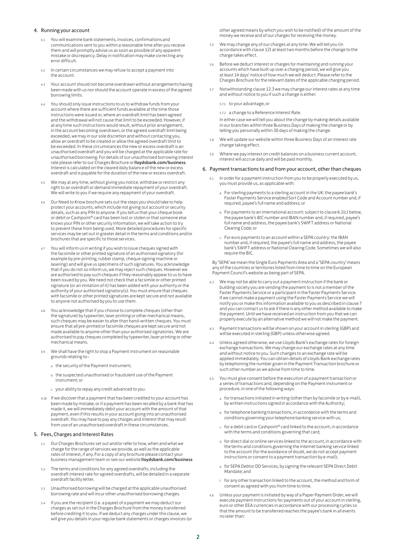#### 4. Running your account

- 4.1 You will examine bank statements, invoices, confirmations and communications sent to you within a reasonable time after you receive them and will promptly advise us as soon as possible of any apparent mistake or discrepancy. Delay in notification may make correcting any error difficult.
- 4.2 In certain circumstances we may refuse to accept a payment into the account.
- 4.3 Your account should not become overdrawn without arrangements having been made with us nor should the account operate in excess of the agreed borrowing limits.
- You should only issue instructions to us to withdraw funds from your account where there are sufficient funds available at the time those instructions were issued or, where an overdraft limit has been agreed and the withdrawal will not cause that limit to be exceeded. However, if at any time such instructions would result, without prior arrangement, in the account becoming overdrawn, or the agreed overdraft limit being exceeded, we may in our sole discretion and without contacting you, allow an overdraft to be created or allow the agreed overdraft limit to be exceeded. In these circumstances the new or excess overdraft is an unauthorised overdraft and you will be charged at the applicable rate for unauthorised borrowing. For details of our unauthorised borrowing interest rate please refer to our Charges Brochure or lloydsbank.com/business. Interest is calculated on the cleared daily balance of the new or excess overdraft and is payable for the duration of the new or excess overdraft.
- 4.5 We may at any time, without giving you notice, withdraw or restrict any right to an overdraft or demand immediate repayment of your overdraft. We will write to you if we require any repayment of your overdraft.
- 4.6 Our Need to Know brochure sets out the steps you should take to help protect your accounts, which include not giving out account or security details, such as any PIN to anyone. If you tell us that your cheque book or debit or Cashpoint® card has been lost or stolen or that someone else knows your PIN or other security information, we will take action to try to prevent these from being used. More detailed procedures for specific services may be set out in greater detail in the terms and conditions and/or brochures that are specific to those services.
- 4.7 You will inform us in writing if you wish to issue cheques signed with the facsimile or other printed signature of an authorised signatory (for example by pre-printing, rubber stamp, cheque signing machine or lasering) and will give us specimens of such signatures. You acknowledge that if you do not so inform us, we may reject such cheques. However we are authorised to pay such cheques if they reasonably appear to us to have been issued by you. We need not check that a facsimile or other printed signature (or an imitation of it) has been added with your authority or the authority of your authorised signatory(s). You must ensure that cheques with facsimile or other printed signatures are kept secure and not available to anyone not authorised by you to use them.
- 4.8 You acknowledge that if you choose to complete cheques (other than the signature) by typewriter, laser printing or other mechanical means, such cheques may be easier to alter than hand-written cheques. You must ensure that all pre-printed or facsimile cheques are kept secure and not made available to anyone other than your authorised signatories. We are authorised to pay cheques completed by typewriter, laser printing or other mechanical means.
- 4.9 We shall have the right to stop a Payment instrument on reasonable grounds relating to–
	- a. the security of the Payment instrument;
	- b. the suspected unauthorised or fraudulent use of the Payment instrument; or
	- c. your ability to repay any credit advanced to you.
- 4.10 If we discover that a payment that has been credited to your account has been made by mistake, or if a payment has been recalled by a bank that has made it, we will immediately debit your account with the amount of that payment, even if this results in your account going into an unauthorised overdraft. You may have to pay any charges and interest that may result from use of an unauthorised overdraft in these circumstances.

#### 5. Fees, Charges and Interest Rates

- 5.1 Our Charges Brochures set out and/or refer to how, when and what we charge for the range of services we provide, as well as the applicable rates of interest, if any. For a copy of any brochure please contact your business management team or see our website lloydsbank.com/business
- The terms and conditions for any agreed overdrafts, including the overdraft interest rate for agreed overdrafts, will be detailed in a separate overdraft facility letter.
- 5.3 Unauthorised borrowing will be charged at the applicable unauthorised borrowing rate and will incur other unauthorised borrowing charges.
- If you are the recipient (i.e. a payee) of a payment we may deduct our charges as set out in the Charges Brochure from the money transferred before crediting it to you. If we deduct any charges under this clause, we will give you details in your regular bank statements or charges invoices (or

other agreed means by which you wish to be notified) of the amount of the money we receive and of our charges for receiving the money.

- 5.5 We may change any of our charges at any time. We will tell you (in accordance with clause 12) at least two months before the change to the charge takes effect.
- 5.6 Before we deduct interest or charges for maintaining and running your accounts which have built up over a charging period, we will give you at least 14 days' notice of how much we will deduct. Please refer to the Charges Brochure for the relevant dates of the applicable charging period.
- 5.7 Notwithstanding clause 12.3 we may change our interest rates at any time and without notice to you if such a change is either:
	- 5.7.1 to your advantage, or
	- 5.7.2 a change to a Reference Interest Rate.

In either case we will tell you about the change by making details available in our branches within three Business Days of making the change or by telling you personally within 30 days of making the change.

- 5.8 We will update our website within three Business Days of an interest rate change taking effect.
- 5.9 Where we pay interest on credit balances on a business current account, interest will accrue daily and will be paid monthly.

#### 6. Payment transactions to and from your account, other than cheques

- 6.1 In order for a payment instruction from you to be properly executed by us, you must provide us, as applicable with:
	- . For sterling payments to a sterling account in the UK: the payee bank's Faster Payments Service enabled Sort Code and Account number and, if required, payee's full name and address; or
	- b. For payments to an international account: subject to clause 6.1(c) below, the payee bank's BIC number and IBAN number and, if required, payee's full name and address, the payee bank's SWIFT address or National Clearing Code; or
	- c. For euro payments to an account within a SEPA country: the IBAN number and, if required, the payee's full name and address, the payee bank's SWIFT address or National Clearing Code. Sometimes we will also require the BIC.

By 'SEPA' we mean the Single Euro Payments Area and a 'SEPA country' means any of the countries or territories listed from time to time on the European Payment Council's website as being part of SEPA.

- 6.2 We may not be able to carry out a payment instruction if the bank or building society you are sending the payment to is not a member of the Faster Payments Service or a participant in the Faster Payments Service. If we cannot make a payment using the Faster Payments Service we will notify you or make this information available to you as described in clause 7 and you can contact us to ask if there is any other method available to make the payment. Until we have received an instruction from you that we can properly execute by an alternative method we will not make the payment.
- 6.3 Payment transactions will be shown on your account in sterling (GBP) and will be executed in sterling (GBP) unless otherwise agreed.
- 6.4 Unless agreed otherwise, we use Lloyds Bank's exchange rates for foreign exchange transactions. We may change our exchange rates at any time and without notice to you. Such changes to an exchange rate will be applied immediately. You can obtain details of Lloyds Bank exchange rates by telephoning the number given in the Payment Transaction brochure or such other number as we advise from time to time.
- 6.5 You must give consent before the execution of a payment transaction or a series of transactions and, depending on the Payment instrument or procedure, in one of the following ways:
	- for transactions initiated in writing (other than by facsimile or by e-mail), by written instructions signed in accordance with the Authority;
	- b. for telephone banking transactions, in accordance with the terms and conditions governing your telephone banking service with us;
	- c. for a debit card or Cashpoint® card linked to the account, in accordance with the terms and conditions governing that card;
	- d. for direct dial or online services linked to the account, in accordance with the terms and conditions governing the internet banking service linked to the account (for the avoidance of doubt, we do not accept payment instructions or consent to a payment transaction by e-mail);
	- e. for SEPA Debtor DD Services, by signing the relevant SEPA Direct Debit Mandate; and
	- f. for any other transaction linked to the account, the method and form of consent as agreed with you from time to time.
- Unless your payment is initiated by way of a Paper Payment Order, we will execute payment instructions for payments out of your account in sterling, euro or other EEA currencies in accordance with our processing cycles so that the amount to be transferred reaches the payee's bank in all events no later than: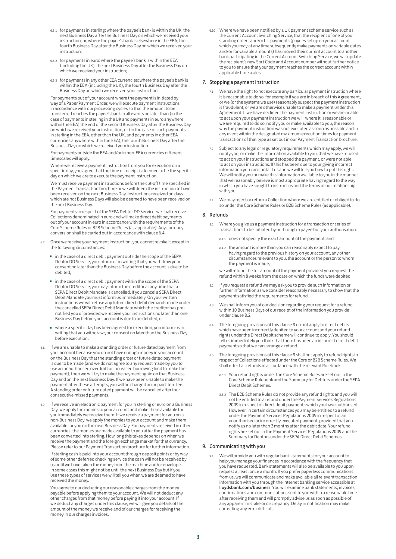- 6.6.1 for payments in sterling: where the payee's bank is within the UK, the next Business Day after the Business Day on which we received your instruction; or, where the payee's bank is elsewhere in the EEA, the fourth Business Day after the Business Day on which we received your instruction;
- 6.6.2 for payments in euro: where the payee's bank is within the EEA (including the UK), the next Business Day after the Business Day on which we received your instruction;
- 6.6.3 for payments in any other EEA currencies: where the payee's bank is within the EEA (including the UK), the fourth Business Day after the Business Day on which we received your instruction.

For payments out of your account where the payment is initiated by way of a Paper Payment Order, we will execute payment instructions in accordance with our processing cycles so that the amount to be transferred reaches the payee's bank in all events no later than (in the case of payments in sterling in the UK and payments in euro anywhere within the EEA) the end of the second Business Day after the Business Day on which we received your instruction, or (in the case of such payments in sterling in the EEA, other than the UK, and payments in other EEA currencies anywhere within the EEA), the fourth Business Day after the Business Day on which we received your instruction.

For payments outside the EEA and/or in non-EEA currencies different timescales will apply.

Where we receive a payment instruction from you for execution on a specific day, you agree that the time of receipt is deemed to be the specific day on which we are to execute the payment instruction.

We must receive payment instructions before the cut-off time specified in the Payment Transaction brochure or we will deem the instruction to have been received on the next Business Day. Instructions received on days which are not Business Days will also be deemed to have been received on the next Business Day.

For payments in respect of the SEPA Debtor DD Service, we shall receive Collections denominated in euro and will make direct debit payments out of your account in euro in accordance with the requirements of the Core Scheme Rules or B2B Scheme Rules (as applicable). Any currency conversion shall be carried out in accordance with clause 6.4.

- 6.7 Once we receive your payment instruction, you cannot revoke it except in the following circumstances:
	- in the case of a direct debit payment outside the scope of the SEPA Debtor DD Service, you inform us in writing that you withdraw your consent no later than the Business Day before the account is due to be debited,
	- in the case of a direct debit payment within the scope of the SEPA Debtor DD Service, you may inform the creditor at any time that a SEPA Direct Debit Mandate is cancelled. If you cancel a SEPA Direct Debit Mandate you must inform us immediately. On your written instructions we will refuse any future direct debit demands made under the cancelled SEPA Direct Debit Mandate which the creditor has prenotified you of provided we receive your instructions no later than one Business Day before your account is due to be debited; or
	- where a specific day has been agreed for execution, you inform us in writing that you withdraw your consent no later than the Business Day before execution.
- If we are unable to make a standing order or future dated payment from your account because you do not have enough money in your account on the Business Day that the standing order or future dated payment is due to be made (and we do not agree to any request made by you to use an unauthorised overdraft or increased borrowing limit to make the payment), then we will try to make the payment again on that Business Day and on the next Business Day. If we have been unable to make the payment after these attempts, you will be charged an unpaid item fee. A standing order or future dated payment will be cancelled after four consecutive missed payments.
- If we receive an electronic payment for you in sterling or euro on a Business Day, we apply the monies to your account and make them available for you immediately we receive them. If we receive a payment for you on a non-Business Day, we apply the monies to your account and make them available for you on the next Business Day. For payments received in other currencies, the monies are made available to you after the payment has been converted into sterling. How long this takes depends on when we receive the payment and the foreign exchange market for that currency. Please refer to our Payment Transaction brochure for further information. If sterling cash is paid into your account through deposit points or by way

of some other deferred checking service the cash will not be received by us until we have taken the money from the machine and/or envelope. In some cases this might not be until the next Business Day but if you use these types of services we will tell you when we are deemed to have received the money.

You agree to our deducting our reasonable charges from the money payable before applying them to your account. We will not deduct any other charges from that money before paying it into your account. If we deduct any charges under this clause, we will give you details of the amount of the money we receive and of our charges for receiving the money in our charges invoices.

6.10 Where we have been notified by a UK payment scheme service such as the Current Account Switching Service, that the recipient of one of your standing orders and/or bill payments (payees set up on your account which you may at any time subsequently make payments on variable dates and/or for variable amounts) has moved their current account to another bank participating in the Current Account Switching Service, we will update the recipient's new Sort Code and Account number without further notice to you to ensure that your payment reaches the correct account within applicable timescales.

#### 7. Stopping a payment instruction

- 7.1 We have the right to not execute any particular payment instruction where it is reasonable to do so, for example if you are in breach of this Agreement, or we (or the systems we use) reasonably suspect the payment instruction is fraudulent, or we are otherwise unable to make a payment under this Agreement. If we have declined the payment instruction or we are unable to act upon your payment instruction we will, where it is reasonable or we are required to do so, notify you or make available to you, the reason why the payment instruction was not executed as soon as possible and in any event within the designated maximum execution times for payment transactions of that type as set out in our Payment Transaction brochure.
- Subject to any legal or regulatory requirements which may apply, we will notify you, or make the information available to you, that we have refused to act on your instructions and stopped the payment, or were not able to act on your instructions. If this has been due to your giving incorrect information you can contact us and we will tell you how to put this right. We will notify you or make this information available to you in the manner that we reasonably believe is most appropriate having regard to the way in which you have sought to instruct us and the terms of our relationship with you.
- 7.3 We may reject or return a Collection where we are entitled or obliged to do so under the Core Scheme Rules or B2B Scheme Rules (as applicable).

#### 8. Refunds

- 8.1 Where you give us a payment instruction for a transaction or series of transactions to be initiated by or through a payee but your authorisation:
	- 8.1.1 does not specify the exact amount of the payment; and
	- 8.1.2 the amount is more than you can reasonably expect to pay having regard to the previous history on your account, any other circumstances relevant to you, the account or the person to whom the payment is made,

we will refund the full amount of the payment provided you request the refund within 8 weeks from the date on which the funds were debited.

- 8.2 If you request a refund we may ask you to provide such information or further information as we consider reasonably necessary to show that the payment satisfied the requirements for refund.
- We shall inform you of our decision regarding your request for a refund within 10 Business Days of our receipt of the information you provide under clause 8.2.
- 8.4 The foregoing provisions of this clause 8 do not apply to direct debits which have been incorrectly debited to your account and your refund rights under the Direct Debit scheme will continue to apply. You should tell us immediately you think that there has been an incorrect direct debit payment so that we can arrange a refund.
- 8.5 The foregoing provisions of this clause 8 shall not apply to refund rights in respect of Collections effected under the Core or B2B Scheme Rules. We shall effect all refunds in accordance with the relevant Rulebook.
	- 8.5.1 Your refund rights under the Core Scheme Rules are set out in the Core Scheme Rulebook and the Summary for Debtors under the SEPA Direct Debit Schemes.
	- 8.5.2 The B2B Scheme Rules do not provide any refund rights and you will not be entitled to a refund under the Payment Services Regulations 2009 in respect of direct debit payments which you have authorised. However, in certain circumstances you may be entitled to a refund under the Payment Services Regulations 2009 in respect of an unauthorised or incorrectly executed payment, provided that you notify us no later than 2 months after the debit date. Your refund rights are set out in the Payment Services Regulations 2009 and the Summary for Debtors under the SEPA Direct Debit Schemes.

#### 9. Communicating with you

We will provide you with regular bank statements for your account to help you manage your finances in accordance with the frequency that you have requested. Bank statements will also be available to you upon request at least once a month. If you prefer paperless communications from us, we will communicate and make available all relevant transaction information with you through the internet banking service accessible at lloydsbank.com/business. You will examine bank statements, invoices, confirmations and communications sent to you within a reasonable time after receiving them and will promptly advise us as soon as possible of any apparent mistake or discrepancy. Delay in notification may make correcting any error difficult.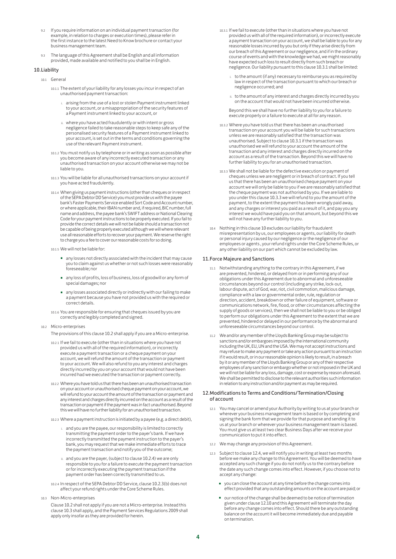- 9.2 If you require information on an individual payment transaction (for example, in relation to charges or execution times), please refer in the first instance to the latest Need to Know brochure or contact your business management team.
- 9.3 The language of this Agreement shall be English and all information provided, made available and notified to you shall be in English.

#### 10.Liability

- 10.1 General
	- 10.1.1 The extent of your liability for any losses you incur in respect of an unauthorised payment transaction:
		- i. arising from the use of a lost or stolen Payment instrument linked to your account, or a misappropriation of the security features of a Payment instrument linked to your account, or
		- ii. where you have acted fraudulently or with intent or gross negligence failed to take reasonable steps to keep safe any of the personalised security features of a Payment instrument linked to your account, is set out in the terms and conditions governing the use of the relevant Payment instrument.
	- 10.1.2 You must notify us by telephone or in writing as soon as possible after you become aware of any incorrectly executed transaction or any unauthorised transaction on your account otherwise we may not be liable to you.
	- 10.1.3 You will be liable for all unauthorised transactions on your account if you have acted fraudulently.
	- 10.1.4 When giving us payment instructions (other than cheques or in respect of the SEPA Debtor DD Service) you must provide us with the payee bank's Faster Payments Service enabled Sort Code and Account number, or where applicable, their IBAN number and, if required, BIC number, full name and address, the payee bank's SWIFT address or National Clearing Code for your payment instructions to be properly executed. If you fail to provide the correct details we will not be liable should a transaction not be capable of being properly executed although we will where relevant use all reasonable efforts to recover your payment. We reserve the right to charge you a fee to cover our reasonable costs for so doing.
	- 10.1.5 We will not be liable for:
		- any losses not directly associated with the incident that may cause you to claim against us whether or not such losses were reasonably foreseeable; nor
		- any loss of profits, loss of business, loss of goodwill or any form of special damages; no
		- any losses associated directly or indirectly with our failing to make a payment because you have not provided us with the required or correct details.
	- 10.1.6 You are responsible for ensuring that cheques issued by you are correctly and legibly completed and signed.
- 10.2 Micro-enterprises
	- The provisions of this clause 10.2 shall apply if you are a Micro-enterprise.
	- 10.2.1 If we fail to execute (other than in situations where you have not provided us with all of the required information), or incorrectly execute a payment transaction or a cheque payment on your account, we will refund the amount of the transaction or payment to your account. We will also refund to you any interest and charges directly incurred by you on your account that would not have been incurred had we executed the transaction or payment correctly.
	- 10.2.2 Where you have told us that there has been an unauthorised transaction on your account or unauthorised cheque payment on your account, we will refund to your account the amount of the transaction or payment and any interest and charges directly incurred on the account as a result of the transaction or payment if the payment was in fact unauthorised. Beyond this we will have no further liability for an unauthorised transaction.
	- 10.2.3 Where a payment instruction is initiated by a payee (e.g. a direct debit),
		- and you are the payee, our responsibility is limited to correctly transmitting the payment order to the payer's bank. If we have incorrectly transmitted the payment instruction to the payer's bank, you may request that we make immediate efforts to trace the payment transaction and notify you of the outcome;
		- ii. and you are the payer, (subject to clause 10.2.4) we are only responsible to you for a failure to execute the payment transaction or for incorrectly executing the payment transaction if the payment order has been correctly transmitted to us.
	- 10.2.4 In respect of the SEPA Debtor DD Service, clause 10.2.3(b) does not affect your refund rights under the Core Scheme Rules.
- 10.3 Non-Micro-enterprises

Clause 10.2 shall not apply if you are not a Micro-enterprise. Instead this clause 10.3 shall apply, and the Payment Services Regulations 2009 shall apply only insofar as they are provided for herein.

- 10.3.1 If we fail to execute (other than in situations where you have not provided us with all of the required information), or incorrectly execute a payment transaction on your account, we shall be liable to you for any reasonable losses incurred by you but only if they arise directly from our breach of this Agreement or our negligence, and if in the ordinary course of events and with the knowledge we had, we might reasonably have expected such loss to result directly from such breach or negligence. Our liability pursuant to this clause 10.3.1 shall be limited:
	- i. to the amount (if any) necessary to reimburse you as required by law in respect of the transaction pursuant to which our breach or negligence occurred; and
	- ii. to the amount of any interest and charges directly incurred by you on the account that would not have been incurred otherwise.

Beyond this we shall have no further liability to you for a failure to execute properly or a failure to execute at all for any reason.

- 10.3.2 Where you have told us that there has been an unauthorised transaction on your account you will be liable for such transactions unless we are reasonably satisfied that the transaction was unauthorised. Subject to clause 10.3.1 if the transaction was unauthorised we will refund to your account the amount of the transaction and any interest and charges directly incurred on the account as a result of the transaction. Beyond this we will have no further liability to you for an unauthorised transaction.
- 10.3.3 We shall not be liable for the defective execution or payment of cheques unless we are negligent or in breach of contract. If you tell us that there has been an unauthorised cheque payment on your account we will only be liable to you if we are reasonably satisfied that the cheque payment was not authorised by you. If we are liable to you under this clause 10.3.3 we will refund to you the amount of the payment, to the extent the payment has been wrongly paid away, and any charges or interest you paid as a result of it, and pay you any interest we would have paid you on that amount, but beyond this we will not have any further liability to you.
- 10.4 Nothing in this clause 10 excludes our liability for fraudulent misrepresentation by us, our employees or agents, our liability for death or personal injury caused by our negligence or the negligence of our employees or agents , your refund rights under the Core Scheme Rules, or any other liability on our part which cannot be excluded by law.

#### 11.Force Majeure and Sanctions

- 11.1 Notwithstanding anything to the contrary in this Agreement, if we are prevented, hindered, or delayed from or in performing any of our obligations under this Agreement due to abnormal and unforeseeable circumstances beyond our control (including any strike, lock-out, labour dispute, act of God, war, riot, civil commotion, malicious damage, compliance with a law or governmental order, rule, regulation or direction, accident, breakdown or other failure of equipment, software or communications network, fire, flood, or other circumstances affecting the supply of goods or services), then we shall not be liable to you or be obliged to perform our obligations under this Agreement to the extent that we are prevented, hindered or delayed in our performance by the abnormal and unforeseeable circumstances beyond our control.
- 11.2 We and/or any member of the Lloyds Banking Group may be subject to sanctions and/or embargoes imposed by the international community including the UK, EU, UN and the USA. We may not accept instructions and may refuse to make any payment or take any action pursuant to an instruction if it would result, or in our reasonable opinion is likely to result, in a breach by it or any member of the Lloyds Banking Group or any of their respective employees of any sanction or embargo whether or not imposed in the UK and we will not be liable for any loss, damage, cost or expense by reason aforesaid. We shall be permitted to disclose to the relevant authorities such information in relation to any instruction and/or payment as may be required.

#### 12.Modifications to Terms and Conditions/Termination/Closing of account

- 12.1 You may cancel or amend your Authority by writing to us at your branch or wherever your business management team is based or by completing and signing the bank form that we provide for that purpose and sending it to us at your branch or wherever your business management team is based. You must give us at least two clear Business Days after we receive your communication to put it into effect.
- 12.2 We may change any provision of this Agreement.
- 12.3 Subject to clause 12.4, we will notify you in writing at least two months before we make any change to this Agreement. You will be deemed to have accepted any such change if you do not notify us to the contrary before the date any such change comes into effect. However, if you choose not to accept any change:
	- you can close the account at any time before the change comes into effect provided that any outstanding amounts on the account are paid; or
	- our notice of the change shall be deemed to be notice of termination given under clause 12.10 and this Agreement will terminate the day before any change comes into effect. Should there be any outstanding balance on the account it will become immediately due and payable on termination.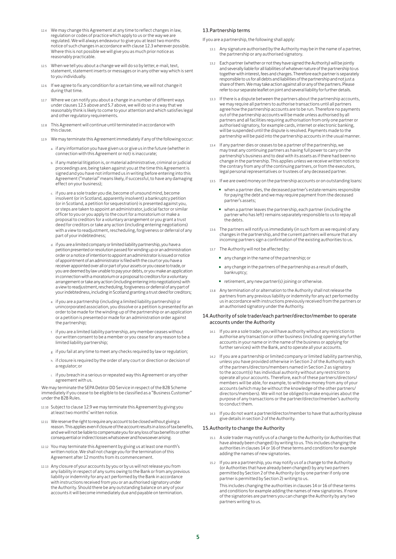- 12.4 We may change this Agreement at any time to reflect changes in law, regulation or codes of practice which apply to us or the way we are regulated. We will always endeavour to give you at least two months notice of such changes in accordance with clause 12.3 wherever possible. Where this is not possible we will give you as much prior notice as reasonably practicable.
- 12.5 When we tell you about a change we will do so by letter, e-mail, text, statement, statement inserts or messages or in any other way which is sent to you individually.
- 12.6 If we agree to fix any condition for a certain time, we will not change it during that time.
- 12.7 Where we can notify you about a change in a number of different ways under clauses 12.5 above and 5.7 above, we will do so in a way that we reasonably think is likely to come to your attention and which satisfies legal and other regulatory requirements.
- 12.8 This Agreement will continue until terminated in accordance with this clause.
- 12.9 We may terminate this Agreement immediately if any of the following occur:
	- a. if any information you have given us or give us in the future (whether in connection with this Agreement or not) is inaccurate;
	- b. if any material litigation is, or material administrative, criminal or judicial proceedings are, being taken against you at the time this Agreement is signed and you have not informed us in writing before entering into this Agreement ("material" means likely, if successful, to have any damaging effect on your business);
	- c. if you are a sole trader you die, become of unsound mind, become insolvent (or in Scotland, apparently insolvent) a bankruptcy petition (or in Scotland, a petition for sequestration) is presented against you, or steps are taken to appoint an administrator, judicial factor or similar officer to you or you apply to the court for a moratorium or make a proposal to creditors for a voluntary arrangement or you grant a trust deed for creditors or take any action (including entering negotiations) with a view to readjustment, rescheduling, forgiveness or deferral of any part of your indebtedness;
	- d. if you are a limited company or limited liability partnership, you have a petition presented or resolution passed for winding up or an administration order or a notice of intention to appoint an administrator is issued or notice of appointment of an administrator is filed with the court or you have a receiver appointed over all or part of your assets or you cease to trade, or you are deemed by law unable to pay your debts, or you make an application in connection with a moratorium or a proposal to creditors for a voluntary arrangement or take any action (including entering into negotiations) with a view to readjustment, rescheduling, forgiveness or deferral of any part of your indebtedness, including in Scotland granting a trust deed for creditors;
	- e. if you are a partnership (including a limited liability partnership) or unincorporated association, you dissolve or a petition is presented for an order to be made for the winding-up of the partnership or an application or a petition is presented or made for an administration order against the partnership;
	- f. if you are a limited liability partnership, any member ceases without our written consent to be a member or you cease for any reason to be a limited liability partnership;
	- g. if you fail at any time to meet any checks required by law or regulation;
	- h. if closure is required by the order of any court or direction or decision of a regulator; or
	- i. if you breach in a serious or repeated way this Agreement or any other agreement with us.

We may terminate the SEPA Debtor DD Service in respect of the B2B Scheme immediately if you cease to be eligible to be classified as a "Business Customer" under the B2B Rules.

- 12.10 Subject to clause 12.9 we may terminate this Agreement by giving you at least two months' written notice.
- 12.11 We reserve the right to require any account to be closed without giving a reason. This applies even if closure of the account results in a loss of tax benefits, and we will not be liable to compensate you for any loss of tax benefits or other consequential or indirect losses whatsoever and howsoever arising.
- 12.12 You may terminate this Agreement by giving us at least one month's written notice. We shall not charge you for the termination of this Agreement after 12 months from its commencement.
- 12.13 Any closure of your accounts by you or by us will not release you from any liability in respect of any sums owing to the Bank or from any previous liability or indemnity for any act performed by the Bank in accordance with instructions received from you or an authorised signatory under the Authority. Should there be any outstanding balance on any of your accounts it will become immediately due and payable on termination.

#### 13.Partnership terms

If you are a partnership, the following shall apply:

- 13.1 Any signature authorised by the Authority may be in the name of a partner, the partnership or any authorised signatory.
- Each partner (whether or not they have signed the Authority) will be jointly and severally liable for all liabilities of whatever nature of the partnership to us together with interest, fees and charges. Therefore each partner is separately responsible to us for all debts and liabilities of the partnership and not just a share of them. We may take action against all or any of the partners. Please refer to our separate leaflet on joint and several liability for further details.
- 13.3 If there is a dispute between the partners about the partnership accounts, we may require all partners to authorise transactions until all partners agree how the partnership accounts are to be run. Therefore no payments out of the partnership accounts will be made unless authorised by all partners and all facilities requiring authorisation from only one partner or authorised signatory, for example cards, internet or electronic banking, will be suspended until the dispute is resolved. Payments made to the partnership will be paid into the partnership accounts in the usual manner.
- 13.4 If any partner dies or ceases to be a partner of the partnership, we may treat any continuing partners as having full power to carry on the partnership's business and to deal with its assets as if there had been no change in the partnership. This applies unless we receive written notice to the contrary from any of the continuing partners, or from the executors, legal personal representatives or trustees of any deceased partner.
- 13.5 If we are owed money on the partnership accounts or on outstanding loans:
	- when a partner dies, the deceased partner's estate remains responsible for paying the debt and we may require payment from the deceased partner's assets;
	- when a partner leaves the partnership, each partner (including the partner who has left) remains separately responsible to us to repay all the debts.
- 13.6 The partners will notify us immediately (in such form as we require) of any changes in the partnership, and the current partners will ensure that any incoming partners sign a confirmation of the existing authorities to us.
- 13.7 The Authority will not be affected by:
	- any change in the name of the partnership; or
	- any change in the partners of the partnership as a result of death, bankruptcy;
	- retirement, any new partner(s) joining or otherwise.
- 13.8 Any termination of or alternation to the Authority shall not release the partners from any previous liability or indemnity for any act performed by us in accordance with instructions previously received from the partners or an authorised signatory under the Authority.

#### 14.Authority of sole trader/each partner/director/member to operate accounts under the Authority

- If you are a sole trader, you will have authority without any restriction to authorise any transaction or other business (including opening any further accounts in your name or in the name of the business or applying for further services) with the Bank, and to operate all your accounts.
- 14.2 If you are a partnership or limited company or limited liability partnership, unless you have provided otherwise in Section 2 of the Authority each of the partners/directors/members named in Section 2 as signatory to the account(s) has individual authority without any restriction to operate all your accounts. Therefore, each of these partners/directors/ members will be able, for example, to withdraw money from any of your accounts (which may be without the knowledge of the other partners/ directors/members). We will not be obliged to make enquiries about the purpose of any transactions or the partner/director/member's authority to conduct them.
- 14.3 If you do not want a partner/director/member to have that authority please give details in section 2 of the Authority.

#### 15.Authority to change the Authority

- 15.1 A sole trader may notify us of a change to the Authority (or Authorities that have already been changed) by writing to us. This includes changing the authorities in clauses 14 or 16 of these terms and conditions for example adding the names of new signatories.
- 15.2 If you are a partnership, you may notify us of a change to the Authority (or Authorities that have already been changed) by any two partners permitted by Section 2 of the Authority (or by one partner if only one partner is permitted by Section 2) writing to us.

This includes changing the authorities in clauses 14 or 16 of these terms and conditions for example adding the names of new signatories. If none of the signatories are partners you can change the Authority by any two partners writing to us.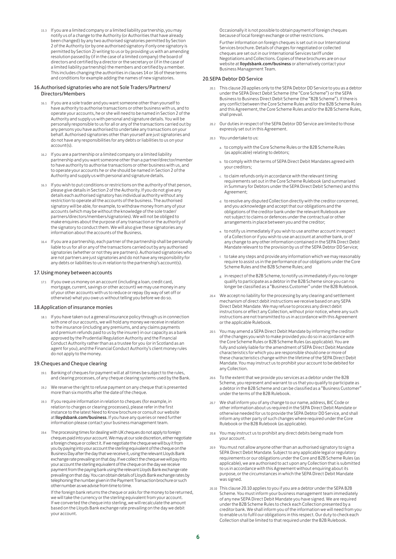15.3 If you are a limited company or a limited liability partnership, you may notify us of a change to the Authority (or Authorities that have already been changed) by any two authorised signatories permitted by Section 2 of the Authority (or by one authorised signatory if only one signatory is permitted by Section 2) writing to us or by providing us with an amending resolution passed by (if in the case of a limited company) the board of directors and certified by a director or the secretary or (if in the case of a limited liability partnership) the members and certified by a member. This includes changing the authorities in clauses 14 or 16 of these terms and conditions for example adding the names of new signatories.

#### 16.Authorised signatories who are not Sole Traders/Partners/ Directors/Members

- 16.1 If you are a sole trader and you want someone other than yourself to have authority to authorise transactions or other business with us, and to operate your accounts, he or she will need to be named in Section 2 of the Authority and supply us with personal and signature details. You will be personally responsible to us for all or any of the transactions carried out by any persons you have authorised to undertake any transactions on your behalf. Authorised signatories other than yourself are just signatories and do not have any responsibilities for any debts or liabilities to us on your account(s).
- 16.2 If you are a partnership or a limited company or a limited liability partnership and you want someone other than a partner/director/member to have authority to authorise transactions or other business with us, and to operate your accounts he or she should be named in Section 2 of the Authority and supply us with personal and signature details.
- 16.3 If you wish to put conditions or restrictions on the authority of that person, please give details in Section 2 of the Authority. If you do not give any details each authorised signatory has individual authority without any restriction to operate all the accounts of the business. The authorised signatory will be able, for example, to withdraw money from any of your accounts (which may be without the knowledge of the sole trader/ partners/directors/members/signatories). We will not be obliged to make enquires about the purpose of any transaction or the authority of the signatory to conduct them. We will also give these signatories any information about the accounts of the Business.
- If you are a partnership, each partner of the partnership shall be personally liable to us for all or any of the transactions carried out by any authorised signatories (whether or not they are partners). Authorised signatories who are not partners are just signatories and do not have any responsibility for any debts or liabilities to us in relation to the partnership's account(s).

#### 17.Using money between accounts

17.1 If you owe us money on an account (including a loan, credit card, mortgage, current, savings or other account) we may use money in any of your other accounts with us to reduce or repay (by way of set off or otherwise) what you owe us without telling you before we do so.

#### 18.Application of insurance monies

18.1 If you have taken out a general insurance policy through us in connection with one of our accounts, we will hold any money we receive in relation to the insurance (including any premiums, and any claims payments and premium refunds paid to us by the insurer) in our capacity as a bank approved by the Prudential Regulation Authority and the Financial Conduct Authority rather than as a trustee for you (or in Scotland as an agent for you), and the Financial Conduct Authority's client money rules do not apply to the money.

#### 19.Cheques and Cheque clearing

- 19.1 Banking of cheques for payment will at all times be subject to the rules, and clearing processes, of any cheque clearing systems used by the Bank.
- 19.2 We reserve the right to refuse payment on any cheque that is presented more than six months after the date of the cheque.
- 19.3 If you require information in relation to cheques (for example, in relation to charges or clearing processes), please refer in the first instance to the latest Need to Know brochure or consult our website at lloydsbank.com/business. If you have any queries or need further information please contact your business management team.
- 19.4 The processing times for dealing with UK cheques do not apply to foreign cheques paid into your account. We may at our sole discretion, either negotiate a foreign cheque or collect it. If we negotiate the cheque we will buy it from you by paying into your account the sterling equivalent of the cheque on the Business Day after the day that we receive it, using the relevant Lloyds Bank exchange rate prevailing on that day. If we collect the cheque we will pay into your account the sterling equivalent of the cheque on the day we receive payment from the paying bank using the relevant Lloyds Bank exchange rate prevailing on that day. You can obtain details of Lloyds Bank exchange rates by telephoning the number given in the Payment Transaction brochure or such other number as we advise from time to time.

If the foreign bank returns the cheque or asks for the money to be returned, we will take the currency or the sterling equivalent from your account. If we converted the cheque into sterling, we will recalculate the amount based on the Lloyds Bank exchange rate prevailing on the day we debit your account.

Occasionally it is not possible to obtain payment of foreign cheques because of local foreign exchange or other restrictions.

Further information on foreign cheques is set out in our International Services brochure. Details of charges for negotiated or collected cheques are set out in our International Services tariff under Negotiations and Collections. Copies of these brochures are on our website at **lloydsbank.com/business** or alternatively contact your Business Management Team.

#### 20.SEPA Debtor DD Service

- 20.1 This clause 20 applies only to the SEPA Debtor DD Service to you as a debtor under the SEPA Direct Debit Scheme (the "Core Scheme") or the SEPA Business to Business Direct Debit Scheme (the "B2B Scheme"). If there is any conflict between the Core Scheme Rules and/or the B2B Scheme Rules and this Agreement, the Core Scheme Rules and/or the B2B Scheme Rules, shall prevail.
- 20.2 Our duties in respect of the SEPA Debtor DD Service are limited to those expressly set out in this Agreement.
- 20.3 You undertake to us:
	- a. to comply with the Core Scheme Rules or the B2B Scheme Rules (as applicable) relating to debtors;
	- b. to comply with the terms of SEPA Direct Debit Mandates agreed with your creditors;
	- c. to claim refunds only in accordance with the relevant timing requirements set out in the Core Scheme Rulebook (and summarised in Summary for Debtors under the SEPA Direct Debit Schemes) and this Agreement;
	- d. to resolve any disputed Collection directly with the creditor concerned, and you acknowledge and accept that our obligations and the obligations of the creditor bank under the relevant Rulebook are not subject to claims or defences under the contractual or other arrangements in place between you and the creditor;
	- e. to notify us immediately if you wish to use another account in respect of a Collection or if you wish to use an account at another bank, or of any change to any other information contained in the SEPA Direct Debit Mandate relevant to the provision by us of the SEPA Debtor DD Service;
	- f. to take any steps and provide any information which we may reasonably require to assist us in the performance of our obligations under the Core Scheme Rules and the B2B Scheme Rules; and
	- g. in respect of the B2B Scheme, to notify us immediately if you no longer qualify to participate as a debtor in the B2B Scheme since you can no longer be classified as a "Business Customer" under the B2B Rulebook.
- 20.4 We accept no liability for the processing by any clearing and settlement mechanism of direct debit instructions we receive based on any SEPA Direct Debit Mandate. We may refuse to process any direct debit instructions or effect any Collection, without prior notice, where any such instructions are not transmitted to us in accordance with this Agreement or the applicable Rulebook.
- 20.5 You may amend a SEPA Direct Debit Mandate by informing the creditor of the changes you wish to make provided you do so in accordance with the Core Scheme Rules or B2B Scheme Rules (as applicable). You are fully and solely liable for the amendment of SEPA Direct Debit Mandate characteristics for which you are responsible should one or more of these characteristics change within the lifetime of the SEPA Direct Debit Mandate. You may instruct us to prohibit your account to be debited for any Collection.
- 20.6 To the extent that we provide you services as a debtor under the B2B Scheme, you represent and warrant to us that you qualify to participate as a debtor in the B2B Scheme and can be classified as a "Business Customer" under the terms of the B2B Rulebook.
- 20.7 We shall inform you of any change to our name, address, BIC Code or other information about us required in the SEPA Direct Debit Mandate or otherwise needed for us to provide the SEPA Debtor DD Service, and shall inform any other party of such changes where required under the Core Rulebook or the B2B Rulebook (as applicable).
- 20.8 You may instruct us to prohibit any direct debits being made from your account.
- 20.9 You must not allow anyone other than an authorised signatory to sign a SEPA Direct Debit Mandate. Subject to any applicable legal or regulatory requirements or our obligations under the Core and B2B Scheme Rules (as applicable), we are authorised to act upon any Collection that is submitted to us in accordance with this Agreement without enquiring about its purpose, or the circumstances in which the SEPA Direct Debit Mandate was signed.
- 20.10 This clause 20.10 applies to you if you are a debtor under the SEPA B2B Scheme. You must inform your business management team immediately of any new SEPA Direct Debit Mandate you have signed. We are required under the B2B Scheme Rules to check each Collection presented by a creditor bank. We shall inform you of the information we will need from you to enable us to fulfil our obligations in this respect. Our duty to check each Collection shall be limited to that required under the B2B Rulebook.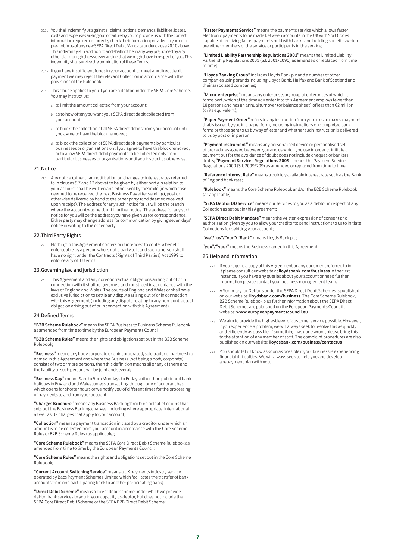- 20.11 You shall indemnify us against all claims, actions, demands, liabilities, losses, costs and expenses arising out of failure by you to provide us with the correct information required or correctly check the information provided to you or to pre-notify us of any new SEPA Direct Debit Mandate under clause 20.10 above. This indemnity is in addition to and shall not be in any way prejudiced by any other claim or right howsoever arising that we might have in respect of you. This indemnity shall survive the termination of these Terms.
- 20.12 If you have insufficient funds in your account to meet any direct debit payment we may reject the relevant Collection in accordance with the provisions of the Rulebook.
- 20.13 This clause applies to you if you are a debtor under the SEPA Core Scheme. You may instruct us:
	- a to limit the amount collected from your account;
	- b. as to how often you want your SEPA direct debit collected from your account;
	- c. to block the collection of all SEPA direct debits from your account until you agree to have the block removed;
	- d. to block the collection of SEPA direct debit payments by particular businesses or organisations until you agree to have the block removed, or to allow SEPA direct debit payments to be collected only from particular businesses or organisations until you instruct us otherwise.

#### 21. Notice

21.1 Any notice (other than notification on changes to interest rates referred to in clauses 5.7 and 12 above) to be given by either party in relation to your account shall be written and either sent by facsimile (in which case deemed to be received the next Business Day after sending), post or otherwise delivered by hand to the other party (and deemed received upon receipt). The address for any such notice for us will be the branch where the account was held, until further notice. The address for any such notice for you will be the address you have given us for correspondence. Either party may change address for communication by giving seven days' notice in writing to the other party.

#### 22.Third Party Rights

22.1 Nothing in this Agreement confers or is intended to confer a benefit enforceable by a person who is not a party to it and such a person shall have no right under the Contracts (Rights of Third Parties) Act 1999 to enforce any of its terms.

#### 23.Governing law and jurisdiction

23.1 This Agreement and any non-contractual obligations arising out of or in connection with it shall be governed and construed in accordance with the laws of England and Wales. The courts of England and Wales or shall have exclusive jurisdiction to settle any dispute arising out of or in connection with this Agreement (including any dispute relating to any non-contractual obligation arising out of or in connection with this Agreement).

#### 24.Defined Terms

"B2B Scheme Rulebook" means the SEPA Business to Business Scheme Rulebook as amended from time to time by the European Payments Council;

"B2B Scheme Rules" means the rights and obligations set out in the B2B Scheme Rulebook;

"Business" means any body corporate or unincorporated, sole trader or partnership named in this Agreement and where the Business (not being a body corporate) consists of two or more persons, then this definition means all or any of them and the liability of such persons will be joint and several;

"Business Day" means 9am to 5pm Mondays to Fridays other than public and bank holidays in England and Wales, unless transacting through one of our branches which opens for shorter hours or we notify you of different times for the processing of payments to and from your account;

"Charges Brochure" means any Business Banking brochure or leaflet of ours that sets out the Business Banking charges, including where appropriate, international as well as UK charges that apply to your account;

"Collection" means a payment transaction initiated by a creditor under which an amount is to be collected from your account in accordance with the Core Scheme Rules or B2B Scheme Rules (as applicable);

"Core Scheme Rulebook" means the SEPA Core Direct Debit Scheme Rulebook as amended from time to time by the European Payments Council;

"Core Scheme Rules" means the rights and obligations set out in the Core Scheme Rulebook;

"Current Account Switching Service" means a UK payments industry service operated by Bacs Payment Schemes Limited which facilitates the transfer of bank accounts from one participating bank to another participating bank;

"Direct Debit Scheme" means a direct debit scheme under which we provide debtor bank services to you in your capacity as debtor, but does not include the SEPA Core Direct Debit Scheme or the SEPA B2B Direct Debit Scheme;

"Faster Payments Service" means the payments service which allows faster electronic payments to be made between accounts in the UK with Sort Codes capable of receiving faster payments held with banks and building societies which are either members of the service or participants in the service;

"Limited Liability Partnership Regulations 2001" means the Limited Liability Partnership Regulations 2001 (S.I. 2001/1090) as amended or replaced from time to time;

"Lloyds Banking Group" includes Lloyds Bank plc and a number of other companies using brands including Lloyds Bank, Halifax and Bank of Scotland and their associated companies;

"Micro-enterprise" means any enterprise, or group of enterprises of which it forms part, which at the time you enter into this Agreement employs fewer than 10 persons and has an annual turnover (or balance sheet) of less than €2 million (or its equivalent);

"Paper Payment Order" refers to any instruction from you to us to make a payment that is issued by you in a paper form, including instructions on completed bank forms or those sent to us by way of letter and whether such instruction is delivered to us by post or in person;

"Payment instrument" means any personalised device or personalised set of procedures agreed between you and us which you use in order to initiate a payment but for the avoidance of doubt does not include cheques or bankers drafts; "Payment Services Regulations 2009" means the Payment Services Regulations 2009 (S.I. 2009/209) as amended or replaced from time to time;

"Reference Interest Rate" means a publicly available interest rate such as the Bank of England bank rate;

"Rulebook" means the Core Scheme Rulebook and/or the B2B Scheme Rulebook (as applicable);

"SEPA Debtor DD Service" means our services to you as a debtor in respect of any Collection as set out in this Agreement;

"SEPA Direct Debit Mandate" means the written expression of consent and authorisation given by you to allow your creditor to send instructions to us to initiate Collections for debiting your account;

"we"/"us"/"our"/"Bank" means Lloyds Bank plc;

"you"/"your" means the Business named in this Agreement.

#### 25.Help and information

- 25.1 If you require a copy of this Agreement or any document referred to in it please consult our website at **lloydsbank.com/business** in the first<br>instance. If you have any queries about your account or need further information please contact your business management team.
- 25.2 A Summary for Debtors under the SEPA Direct Debit Schemes is published on our website: lloydsbank.com/business. The Core Scheme Rulebook, B2B Scheme Rulebook plus further information about the SEPA Direct Debit Schemes are published on the European Payments Council's website: www.europeanpaymentscouncil.eu
- 25.3 We aim to provide the highest level of customer service possible. However, if you experience a problem, we will always seek to resolve this as quickly and efficiently as possible. If something has gone wrong please bring this to the attention of any member of staff. The complaint procedures are also published on our website: lloydsbank.com/business/contactus
- 25.4 You should let us know as soon as possible if your business is experiencing financial difficulties. We will always seek to help you and develop a repayment plan with you.